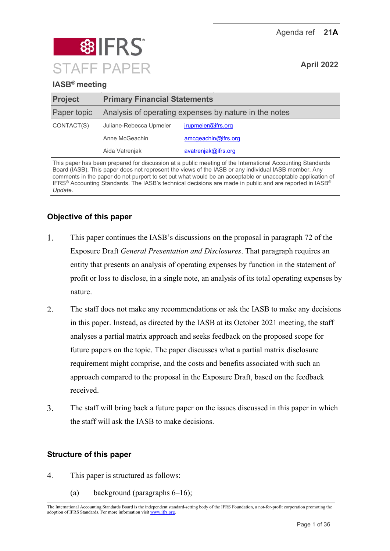Agenda ref **21A**



# **IASB® meeting**

| <b>Project</b> | <b>Primary Financial Statements</b>                   |                     |  |
|----------------|-------------------------------------------------------|---------------------|--|
| Paper topic    | Analysis of operating expenses by nature in the notes |                     |  |
| CONTACT(S)     | Juliane-Rebecca Upmeier                               | jrupmeier@ifrs.org  |  |
|                | Anne McGeachin                                        | amcgeachin@ifrs.org |  |
|                | Aida Vatrenjak                                        | avatrenjak@ifrs.org |  |
|                |                                                       |                     |  |

This paper has been prepared for discussion at a public meeting of the International Accounting Standards Board (IASB). This paper does not represent the views of the IASB or any individual IASB member. Any comments in the paper do not purport to set out what would be an acceptable or unacceptable application of IFRS® Accounting Standards. The IASB's technical decisions are made in public and are reported in IASB® *Update*.

# **Objective of this paper**

- $1.$ This paper continues the IASB's discussions on the proposal in paragraph 72 of the Exposure Draft *General Presentation and Disclosures*. That paragraph requires an entity that presents an analysis of operating expenses by function in the statement of profit or loss to disclose, in a single note, an analysis of its total operating expenses by nature.
- 2. The staff does not make any recommendations or ask the IASB to make any decisions in this paper. Instead, as directed by the IASB at its October 2021 meeting, the staff analyses a partial matrix approach and seeks feedback on the proposed scope for future papers on the topic. The paper discusses what a partial matrix disclosure requirement might comprise, and the costs and benefits associated with such an approach compared to the proposal in the Exposure Draft, based on the feedback received.
- $\overline{3}$ . The staff will bring back a future paper on the issues discussed in this paper in which the staff will ask the IASB to make decisions.

### **Structure of this paper**

- $\overline{4}$ . This paper is structured as follows:
	- (a) background (paragraphs  $6-16$ );

The International Accounting Standards Board is the independent standard-setting body of the IFRS Foundation, a not-for-profit corporation promoting the adoption of IFRS Standards. For more information visi[t www.ifrs.org.](http://www.ifrs.org/)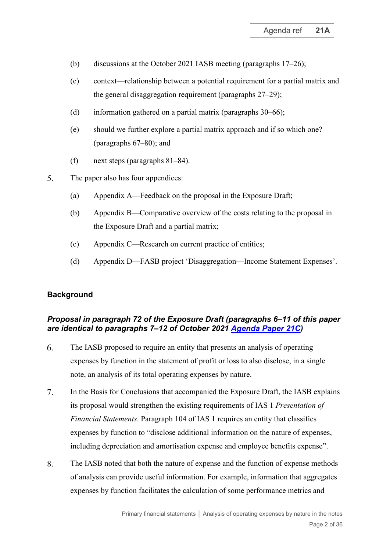- (b) discussions at the October 2021 IASB meeting (paragraphs [17](#page-4-0)[–26\)](#page-6-0);
- (c) context—relationship between a potential requirement for a partial matrix and the general disaggregation requirement (paragraphs [27](#page-7-0)[–29\)](#page-7-1);
- (d) information gathered on a partial matrix (paragraphs [30–](#page-8-0)[66\)](#page-20-0);
- (e) should we further explore a partial matrix approach and if so which one? (paragraphs [67](#page-21-0)[–80\)](#page-24-0); and
- (f) next steps (paragraphs [81](#page-25-0)[–84\)](#page-25-1).
- $5<sub>1</sub>$ The paper also has four appendices:
	- (a) Appendix A—Feedback on the proposal in the Exposure Draft;
	- (b) Appendix B—Comparative overview of the costs relating to the proposal in the Exposure Draft and a partial matrix;
	- (c) Appendix C—Research on current practice of entities;
	- (d) Appendix D—FASB project 'Disaggregation—Income Statement Expenses'.

# **Background**

## *Proposal in paragraph 72 of the Exposure Draft (paragraphs [6–](#page-1-0)[11](#page-2-0) of this paper are identical to paragraphs 7–12 of October 2021 [Agenda Paper 21C\)](https://www.ifrs.org/content/dam/ifrs/meetings/2021/october/iasb/ap21c-analysis-of-operating-expenses-disclosure-in-the-notes.pdf)*

- <span id="page-1-0"></span>6. The IASB proposed to require an entity that presents an analysis of operating expenses by function in the statement of profit or loss to also disclose, in a single note, an analysis of its total operating expenses by nature.
- 7. In the Basis for Conclusions that accompanied the Exposure Draft, the IASB explains its proposal would strengthen the existing requirements of IAS 1 *Presentation of Financial Statements*. Paragraph 104 of IAS 1 requires an entity that classifies expenses by function to "disclose additional information on the nature of expenses, including depreciation and amortisation expense and employee benefits expense".
- 8. The IASB noted that both the nature of expense and the function of expense methods of analysis can provide useful information. For example, information that aggregates expenses by function facilitates the calculation of some performance metrics and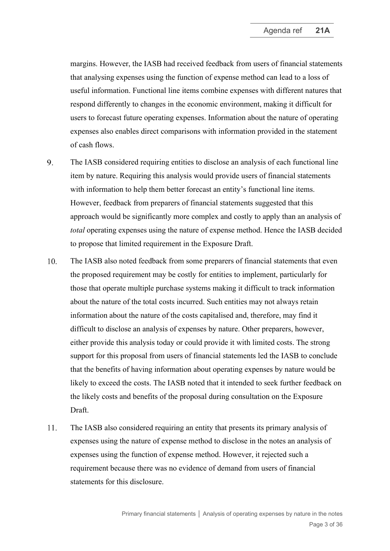margins. However, the IASB had received feedback from users of financial statements that analysing expenses using the function of expense method can lead to a loss of useful information. Functional line items combine expenses with different natures that respond differently to changes in the economic environment, making it difficult for users to forecast future operating expenses. Information about the nature of operating expenses also enables direct comparisons with information provided in the statement of cash flows.

- 9. The IASB considered requiring entities to disclose an analysis of each functional line item by nature. Requiring this analysis would provide users of financial statements with information to help them better forecast an entity's functional line items. However, feedback from preparers of financial statements suggested that this approach would be significantly more complex and costly to apply than an analysis of *total* operating expenses using the nature of expense method. Hence the IASB decided to propose that limited requirement in the Exposure Draft.
- 10. The IASB also noted feedback from some preparers of financial statements that even the proposed requirement may be costly for entities to implement, particularly for those that operate multiple purchase systems making it difficult to track information about the nature of the total costs incurred. Such entities may not always retain information about the nature of the costs capitalised and, therefore, may find it difficult to disclose an analysis of expenses by nature. Other preparers, however, either provide this analysis today or could provide it with limited costs. The strong support for this proposal from users of financial statements led the IASB to conclude that the benefits of having information about operating expenses by nature would be likely to exceed the costs. The IASB noted that it intended to seek further feedback on the likely costs and benefits of the proposal during consultation on the Exposure Draft.
- <span id="page-2-0"></span> $11.$ The IASB also considered requiring an entity that presents its primary analysis of expenses using the nature of expense method to disclose in the notes an analysis of expenses using the function of expense method. However, it rejected such a requirement because there was no evidence of demand from users of financial statements for this disclosure.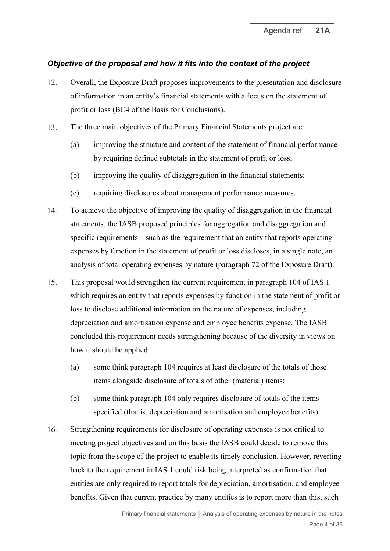### *Objective of the proposal and how it fits into the context of the project*

- <span id="page-3-2"></span>12. Overall, the Exposure Draft proposes improvements to the presentation and disclosure of information in an entity's financial statements with a focus on the statement of profit or loss (BC4 of the Basis for Conclusions).
- $13.$ The three main objectives of the Primary Financial Statements project are:
	- (a) improving the structure and content of the statement of financial performance by requiring defined subtotals in the statement of profit or loss;
	- (b) improving the quality of disaggregation in the financial statements;
	- (c) requiring disclosures about management performance measures.
- 14. To achieve the objective of improving the quality of disaggregation in the financial statements, the IASB proposed principles for aggregation and disaggregation and specific requirements—such as the requirement that an entity that reports operating expenses by function in the statement of profit or loss discloses, in a single note, an analysis of total operating expenses by nature (paragraph 72 of the Exposure Draft).
- <span id="page-3-1"></span>15. This proposal would strengthen the current requirement in paragraph 104 of IAS 1 which requires an entity that reports expenses by function in the statement of profit or loss to disclose additional information on the nature of expenses, including depreciation and amortisation expense and employee benefits expense. The IASB concluded this requirement needs strengthening because of the diversity in views on how it should be applied:
	- (a) some think paragraph 104 requires at least disclosure of the totals of those items alongside disclosure of totals of other (material) items;
	- (b) some think paragraph 104 only requires disclosure of totals of the items specified (that is, depreciation and amortisation and employee benefits).
- <span id="page-3-0"></span>16. Strengthening requirements for disclosure of operating expenses is not critical to meeting project objectives and on this basis the IASB could decide to remove this topic from the scope of the project to enable its timely conclusion. However, reverting back to the requirement in IAS 1 could risk being interpreted as confirmation that entities are only required to report totals for depreciation, amortisation, and employee benefits. Given that current practice by many entities is to report more than this, such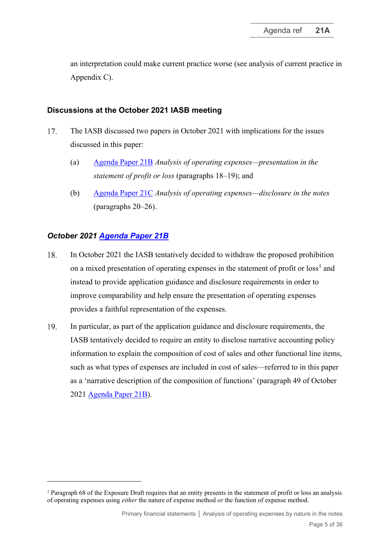an interpretation could make current practice worse (see analysis of current practice in Appendix C).

### **Discussions at the October 2021 IASB meeting**

- <span id="page-4-0"></span>17. The IASB discussed two papers in October 2021 with implications for the issues discussed in this paper:
	- (a) [Agenda Paper 21B](https://www.ifrs.org/content/dam/ifrs/meetings/2021/october/iasb/ap21b-primary-financial-statements-analysis-of-operating-expenses-presentation-in-the-statement-of-profit-or-loss.pdf) *Analysis of operating expenses—presentation in the statement of profit or loss* (paragraphs [18–](#page-4-1)[19\)](#page-4-2); and
	- (b) [Agenda Paper](https://www.ifrs.org/content/dam/ifrs/meetings/2021/october/iasb/ap21c-analysis-of-operating-expenses-disclosure-in-the-notes.pdf) 2[1C](https://www.ifrs.org/content/dam/ifrs/meetings/2021/october/iasb/ap21c-analysis-of-operating-expenses-disclosure-in-the-notes.pdf) *Analysis of operating expenses—disclosure in the notes* (paragraphs [20](#page-5-0)[–26\)](#page-6-0).

## *October 2021 [Agenda Paper 21B](https://www.ifrs.org/content/dam/ifrs/meetings/2021/october/iasb/ap21b-primary-financial-statements-analysis-of-operating-expenses-presentation-in-the-statement-of-profit-or-loss.pdf)*

- <span id="page-4-1"></span>18. In October 2021 the IASB tentatively decided to withdraw the proposed prohibition on a mixed presentation of operating expenses in the statement of profit or  $loss<sup>1</sup>$  $loss<sup>1</sup>$  $loss<sup>1</sup>$  and instead to provide application guidance and disclosure requirements in order to improve comparability and help ensure the presentation of operating expenses provides a faithful representation of the expenses.
- <span id="page-4-2"></span>19. In particular, as part of the application guidance and disclosure requirements, the IASB tentatively decided to require an entity to disclose narrative accounting policy information to explain the composition of cost of sales and other functional line items, such as what types of expenses are included in cost of sales—referred to in this paper as a 'narrative description of the composition of functions' (paragraph 49 of October 2021 [Agenda Paper 21B\)](https://www.ifrs.org/content/dam/ifrs/meetings/2021/october/iasb/ap21b-primary-financial-statements-analysis-of-operating-expenses-presentation-in-the-statement-of-profit-or-loss.pdf).

<span id="page-4-3"></span><sup>1</sup> Paragraph 68 of the Exposure Draft requires that an entity presents in the statement of profit or loss an analysis of operating expenses using *either* the nature of expense method *or* the function of expense method.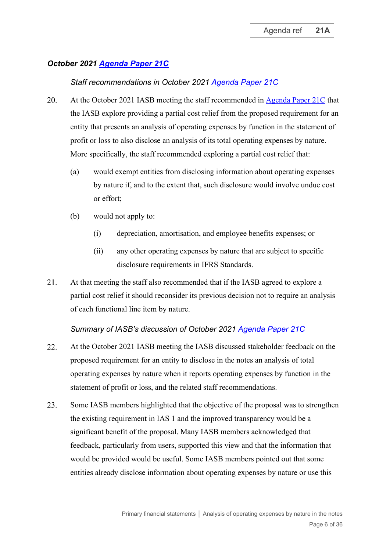# *October 2021 Agenda Paper 21C*

## *Staff re[commendations in Oc](https://www.ifrs.org/content/dam/ifrs/meetings/2021/october/iasb/ap21c-analysis-of-operating-expenses-disclosure-in-the-notes.pdf)tober 2021 [Agenda Paper 21C](https://www.ifrs.org/content/dam/ifrs/meetings/2021/october/iasb/ap21c-analysis-of-operating-expenses-disclosure-in-the-notes.pdf)*

- <span id="page-5-0"></span>20. At the October 2021 IASB meeting the staff recommended in [Agenda Paper 21C](https://www.ifrs.org/content/dam/ifrs/meetings/2021/october/iasb/ap21c-analysis-of-operating-expenses-disclosure-in-the-notes.pdf) that the IASB explore providing a partial cost relief from the proposed requirement for an entity that presents an analysis of operating expenses by function in the statement of profit or loss to also disclose an analysis of its total operating expenses by nature. More specifically, the staff recommended exploring a partial cost relief that:
	- (a) would exempt entities from disclosing information about operating expenses by nature if, and to the extent that, such disclosure would involve undue cost or effort;
	- (b) would not apply to:
		- (i) depreciation, amortisation, and employee benefits expenses; or
		- (ii) any other operating expenses by nature that are subject to specific disclosure requirements in IFRS Standards.
- 21. At that meeting the staff also recommended that if the IASB agreed to explore a partial cost relief it should reconsider its previous decision not to require an analysis of each functional line item by nature.

### *Summary of IASB's discussion of October 2021 [Agenda Paper 21C](https://www.ifrs.org/content/dam/ifrs/meetings/2021/october/iasb/ap21c-analysis-of-operating-expenses-disclosure-in-the-notes.pdf)*

- 22. At the October 2021 IASB meeting the IASB discussed stakeholder feedback on the proposed requirement for an entity to disclose in the notes an analysis of total operating expenses by nature when it reports operating expenses by function in the statement of profit or loss, and the related staff recommendations.
- Some IASB members highlighted that the objective of the proposal was to strengthen 23. the existing requirement in IAS 1 and the improved transparency would be a significant benefit of the proposal. Many IASB members acknowledged that feedback, particularly from users, supported this view and that the information that would be provided would be useful. Some IASB members pointed out that some entities already disclose information about operating expenses by nature or use this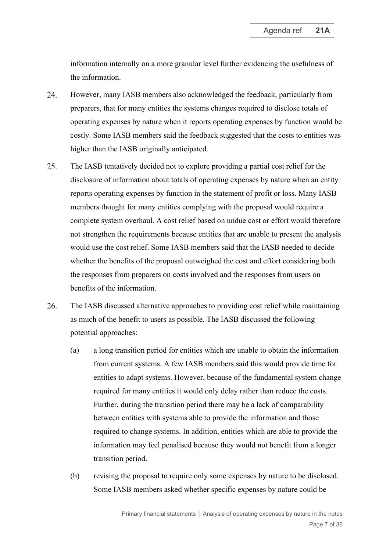information internally on a more granular level further evidencing the usefulness of the information.

- 24. However, many IASB members also acknowledged the feedback, particularly from preparers, that for many entities the systems changes required to disclose totals of operating expenses by nature when it reports operating expenses by function would be costly. Some IASB members said the feedback suggested that the costs to entities was higher than the IASB originally anticipated.
- 25. The IASB tentatively decided not to explore providing a partial cost relief for the disclosure of information about totals of operating expenses by nature when an entity reports operating expenses by function in the statement of profit or loss. Many IASB members thought for many entities complying with the proposal would require a complete system overhaul. A cost relief based on undue cost or effort would therefore not strengthen the requirements because entities that are unable to present the analysis would use the cost relief. Some IASB members said that the IASB needed to decide whether the benefits of the proposal outweighed the cost and effort considering both the responses from preparers on costs involved and the responses from users on benefits of the information.
- <span id="page-6-0"></span>26. The IASB discussed alternative approaches to providing cost relief while maintaining as much of the benefit to users as possible. The IASB discussed the following potential approaches:
	- (a) a long transition period for entities which are unable to obtain the information from current systems. A few IASB members said this would provide time for entities to adapt systems. However, because of the fundamental system change required for many entities it would only delay rather than reduce the costs. Further, during the transition period there may be a lack of comparability between entities with systems able to provide the information and those required to change systems. In addition, entities which are able to provide the information may feel penalised because they would not benefit from a longer transition period.
	- (b) revising the proposal to require only some expenses by nature to be disclosed. Some IASB members asked whether specific expenses by nature could be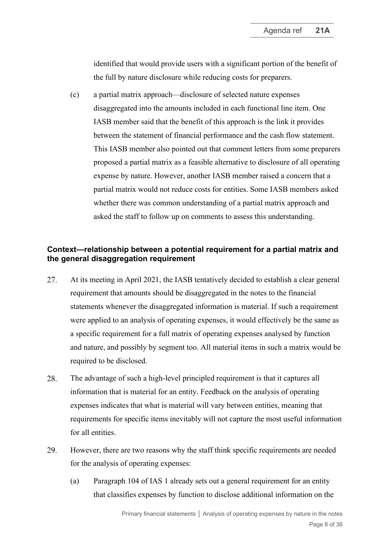identified that would provide users with a significant portion of the benefit of the full by nature disclosure while reducing costs for preparers.

(c) a partial matrix approach—disclosure of selected nature expenses disaggregated into the amounts included in each functional line item. One IASB member said that the benefit of this approach is the link it provides between the statement of financial performance and the cash flow statement. This IASB member also pointed out that comment letters from some preparers proposed a partial matrix as a feasible alternative to disclosure of all operating expense by nature. However, another IASB member raised a concern that a partial matrix would not reduce costs for entities. Some IASB members asked whether there was common understanding of a partial matrix approach and asked the staff to follow up on comments to assess this understanding.

### **Context—relationship between a potential requirement for a partial matrix and the general disaggregation requirement**

- <span id="page-7-0"></span>27. At its meeting in April 2021, the IASB tentatively decided to establish a clear general requirement that amounts should be disaggregated in the notes to the financial statements whenever the disaggregated information is material. If such a requirement were applied to an analysis of operating expenses, it would effectively be the same as a specific requirement for a full matrix of operating expenses analysed by function and nature, and possibly by segment too. All material items in such a matrix would be required to be disclosed.
- <span id="page-7-2"></span>28. The advantage of such a high-level principled requirement is that it captures all information that is material for an entity. Feedback on the analysis of operating expenses indicates that what is material will vary between entities, meaning that requirements for specific items inevitably will not capture the most useful information for all entities.
- <span id="page-7-1"></span>29. However, there are two reasons why the staff think specific requirements are needed for the analysis of operating expenses:
	- (a) Paragraph 104 of IAS 1 already sets out a general requirement for an entity that classifies expenses by function to disclose additional information on the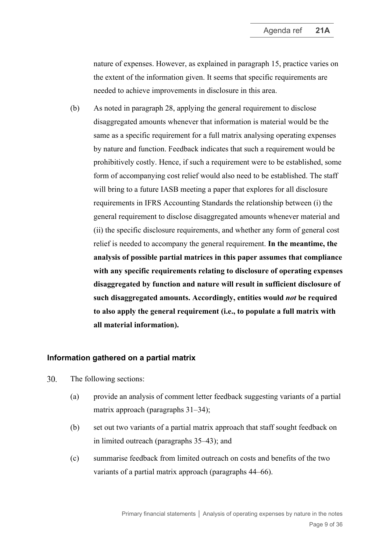nature of expenses. However, as explained in paragraph [15,](#page-3-1) practice varies on the extent of the information given. It seems that specific requirements are needed to achieve improvements in disclosure in this area.

<span id="page-8-1"></span>(b) As noted in paragraph [28,](#page-7-2) applying the general requirement to disclose disaggregated amounts whenever that information is material would be the same as a specific requirement for a full matrix analysing operating expenses by nature and function. Feedback indicates that such a requirement would be prohibitively costly. Hence, if such a requirement were to be established, some form of accompanying cost relief would also need to be established. The staff will bring to a future IASB meeting a paper that explores for all disclosure requirements in IFRS Accounting Standards the relationship between (i) the general requirement to disclose disaggregated amounts whenever material and (ii) the specific disclosure requirements, and whether any form of general cost relief is needed to accompany the general requirement. **In the meantime, the analysis of possible partial matrices in this paper assumes that compliance with any specific requirements relating to disclosure of operating expenses disaggregated by function and nature will result in sufficient disclosure of such disaggregated amounts. Accordingly, entities would** *not* **be required to also apply the general requirement (i.e., to populate a full matrix with all material information).**

#### **Information gathered on a partial matrix**

- <span id="page-8-0"></span> $30<sub>1</sub>$ The following sections:
	- (a) provide an analysis of comment letter feedback suggesting variants of a partial matrix approach (paragraphs [31–](#page-9-0)[34\)](#page-9-1);
	- (b) set out two variants of a partial matrix approach that staff sought feedback on in limited outreach (paragraphs [35](#page-10-0)[–43\)](#page-13-0); and
	- (c) summarise feedback from limited outreach on costs and benefits of the two variants of a partial matrix approach (paragraphs [44–](#page-13-1)[66\)](#page-20-0).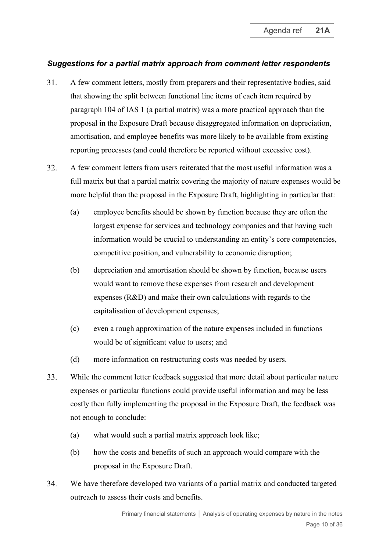# *Suggestions for a partial matrix approach from comment letter respondents*

- <span id="page-9-0"></span>31. A few comment letters, mostly from preparers and their representative bodies, said that showing the split between functional line items of each item required by paragraph 104 of IAS 1 (a partial matrix) was a more practical approach than the proposal in the Exposure Draft because disaggregated information on depreciation, amortisation, and employee benefits was more likely to be available from existing reporting processes (and could therefore be reported without excessive cost).
- 32. A few comment letters from users reiterated that the most useful information was a full matrix but that a partial matrix covering the majority of nature expenses would be more helpful than the proposal in the Exposure Draft, highlighting in particular that:
	- (a) employee benefits should be shown by function because they are often the largest expense for services and technology companies and that having such information would be crucial to understanding an entity's core competencies, competitive position, and vulnerability to economic disruption;
	- (b) depreciation and amortisation should be shown by function, because users would want to remove these expenses from research and development expenses (R&D) and make their own calculations with regards to the capitalisation of development expenses;
	- (c) even a rough approximation of the nature expenses included in functions would be of significant value to users; and
	- (d) more information on restructuring costs was needed by users.
- 33. While the comment letter feedback suggested that more detail about particular nature expenses or particular functions could provide useful information and may be less costly then fully implementing the proposal in the Exposure Draft, the feedback was not enough to conclude:
	- (a) what would such a partial matrix approach look like;
	- (b) how the costs and benefits of such an approach would compare with the proposal in the Exposure Draft.
- <span id="page-9-1"></span>34. We have therefore developed two variants of a partial matrix and conducted targeted outreach to assess their costs and benefits.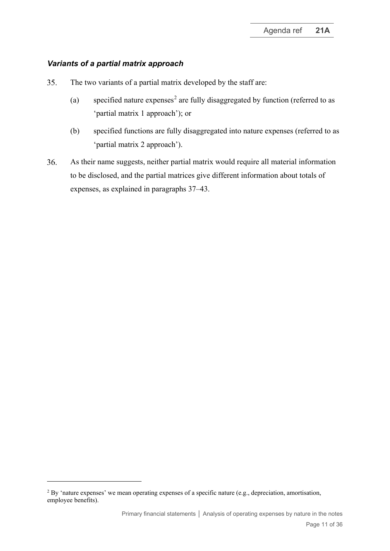### *Variants of a partial matrix approach*

- <span id="page-10-0"></span>35. The two variants of a partial matrix developed by the staff are:
	- (a) specified nature expenses<sup>[2](#page-10-1)</sup> are fully disaggregated by function (referred to as 'partial matrix 1 approach'); or
	- (b) specified functions are fully disaggregated into nature expenses (referred to as 'partial matrix 2 approach').
- 36. As their name suggests, neither partial matrix would require all material information to be disclosed, and the partial matrices give different information about totals of expenses, as explained in paragraphs [37–](#page-11-0)[43.](#page-13-0)

<span id="page-10-1"></span><sup>&</sup>lt;sup>2</sup> By 'nature expenses' we mean operating expenses of a specific nature (e.g., depreciation, amortisation, employee benefits).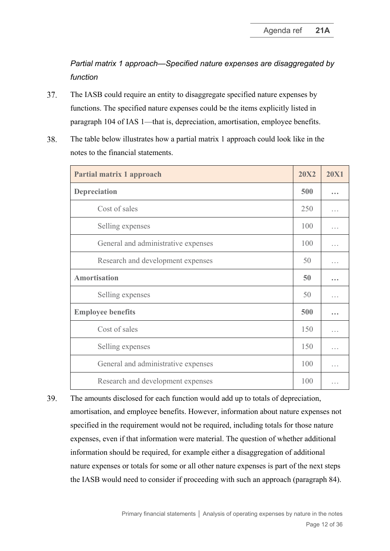*Partial matrix 1 approach—Specified nature expenses are disaggregated by function*

- <span id="page-11-0"></span>The IASB could require an entity to disaggregate specified nature expenses by 37. functions. The specified nature expenses could be the items explicitly listed in paragraph 104 of IAS 1—that is, depreciation, amortisation, employee benefits.
- 38. The table below illustrates how a partial matrix 1 approach could look like in the notes to the financial statements.

| Partial matrix 1 approach           |     | <b>20X1</b>          |
|-------------------------------------|-----|----------------------|
| Depreciation                        |     |                      |
| Cost of sales                       | 250 |                      |
| Selling expenses                    | 100 |                      |
| General and administrative expenses |     |                      |
| Research and development expenses   | 50  |                      |
| <b>Amortisation</b>                 |     | $- - -$              |
| Selling expenses                    |     |                      |
| <b>Employee benefits</b>            |     | $- - -$              |
| Cost of sales                       | 150 | $\sim$ $\sim$ $\sim$ |
| Selling expenses                    |     | .                    |
| General and administrative expenses |     |                      |
| Research and development expenses   |     |                      |

39. The amounts disclosed for each function would add up to totals of depreciation, amortisation, and employee benefits. However, information about nature expenses not specified in the requirement would not be required, including totals for those nature expenses, even if that information were material. The question of whether additional information should be required, for example either a disaggregation of additional nature expenses or totals for some or all other nature expenses is part of the next steps the IASB would need to consider if proceeding with such an approach (paragraph [84\)](#page-25-1).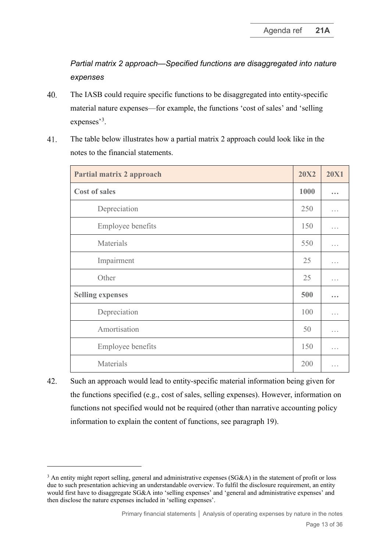*Partial matrix 2 approach—Specified functions are disaggregated into nature expenses*

- 40. The IASB could require specific functions to be disaggregated into entity-specific material nature expenses—for example, the functions 'cost of sales' and 'selling expenses'<sup>[3](#page-12-0)</sup>.
- 41. The table below illustrates how a partial matrix 2 approach could look like in the notes to the financial statements.

| <b>Partial matrix 2 approach</b> |     | <b>20X1</b>          |
|----------------------------------|-----|----------------------|
| <b>Cost of sales</b>             |     |                      |
| Depreciation                     |     | .                    |
| Employee benefits                |     | .                    |
| Materials                        | 550 | .                    |
| Impairment                       | 25  | .                    |
| Other                            | 25  | $\cdots$             |
| <b>Selling expenses</b>          |     |                      |
| Depreciation                     | 100 | .                    |
| Amortisation                     | 50  | $\sim$ $\sim$ $\sim$ |
| <b>Employee benefits</b>         |     | $\cdots$             |
| Materials                        | 200 |                      |

42. Such an approach would lead to entity-specific material information being given for the functions specified (e.g., cost of sales, selling expenses). However, information on functions not specified would not be required (other than narrative accounting policy information to explain the content of functions, see paragraph [19\)](#page-4-2).

<span id="page-12-0"></span><sup>&</sup>lt;sup>3</sup> An entity might report selling, general and administrative expenses (SG&A) in the statement of profit or loss due to such presentation achieving an understandable overview. To fulfil the disclosure requirement, an entity would first have to disaggregate SG&A into 'selling expenses' and 'general and administrative expenses' and then disclose the nature expenses included in 'selling expenses'.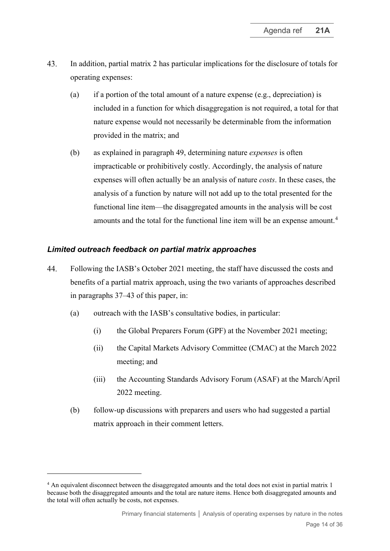- <span id="page-13-3"></span><span id="page-13-0"></span>43. In addition, partial matrix 2 has particular implications for the disclosure of totals for operating expenses:
	- (a) if a portion of the total amount of a nature expense (e.g., depreciation) is included in a function for which disaggregation is not required, a total for that nature expense would not necessarily be determinable from the information provided in the matrix; and
	- (b) as explained in paragraph [49,](#page-16-0) determining nature *expenses* is often impracticable or prohibitively costly. Accordingly, the analysis of nature expenses will often actually be an analysis of nature *costs*. In these cases, the analysis of a function by nature will not add up to the total presented for the functional line item—the disaggregated amounts in the analysis will be cost amounts and the total for the functional line item will be an expense amount.<sup>[4](#page-13-2)</sup>

## *Limited outreach feedback on partial matrix approaches*

- <span id="page-13-1"></span>44. Following the IASB's October 2021 meeting, the staff have discussed the costs and benefits of a partial matrix approach, using the two variants of approaches described in paragraphs [37–](#page-11-0)[43](#page-13-0) of this paper, in:
	- (a) outreach with the IASB's consultative bodies, in particular:
		- (i) the Global Preparers Forum (GPF) at the November 2021 meeting;
		- (ii) the Capital Markets Advisory Committee (CMAC) at the March 2022 meeting; and
		- (iii) the Accounting Standards Advisory Forum (ASAF) at the March/April 2022 meeting.
	- (b) follow-up discussions with preparers and users who had suggested a partial matrix approach in their comment letters.

<span id="page-13-2"></span><sup>&</sup>lt;sup>4</sup> An equivalent disconnect between the disaggregated amounts and the total does not exist in partial matrix 1 because both the disaggregated amounts and the total are nature items. Hence both disaggregated amounts and the total will often actually be costs, not expenses.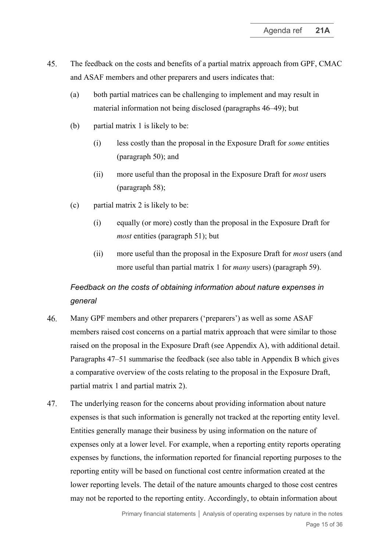- <span id="page-14-2"></span>45. The feedback on the costs and benefits of a partial matrix approach from GPF, CMAC and ASAF members and other preparers and users indicates that:
	- (a) both partial matrices can be challenging to implement and may result in material information not being disclosed (paragraphs [46](#page-14-0)[–49\)](#page-16-0); but
	- (b) partial matrix 1 is likely to be:
		- (i) less costly than the proposal in the Exposure Draft for *some* entities (paragraph [50\)](#page-16-1); and
		- (ii) more useful than the proposal in the Exposure Draft for *most* users (paragraph [58\)](#page-18-0);
	- (c) partial matrix 2 is likely to be:
		- (i) equally (or more) costly than the proposal in the Exposure Draft for *most* entities (paragraph [51\)](#page-16-2); but
		- (ii) more useful than the proposal in the Exposure Draft for *most* users (and more useful than partial matrix 1 for *many* users) (paragraph [59\)](#page-18-1).

# *Feedback on the costs of obtaining information about nature expenses in general*

- <span id="page-14-0"></span>46. Many GPF members and other preparers ('preparers') as well as some ASAF members raised cost concerns on a partial matrix approach that were similar to those raised on the proposal in the Exposure Draft (see Appendix A), with additional detail. Paragraphs [47–](#page-14-1)[51](#page-16-2) summarise the feedback (see also table in Appendix B which gives a comparative overview of the costs relating to the proposal in the Exposure Draft, partial matrix 1 and partial matrix 2).
- <span id="page-14-1"></span>47. The underlying reason for the concerns about providing information about nature expenses is that such information is generally not tracked at the reporting entity level. Entities generally manage their business by using information on the nature of expenses only at a lower level. For example, when a reporting entity reports operating expenses by functions, the information reported for financial reporting purposes to the reporting entity will be based on functional cost centre information created at the lower reporting levels. The detail of the nature amounts charged to those cost centres may not be reported to the reporting entity. Accordingly, to obtain information about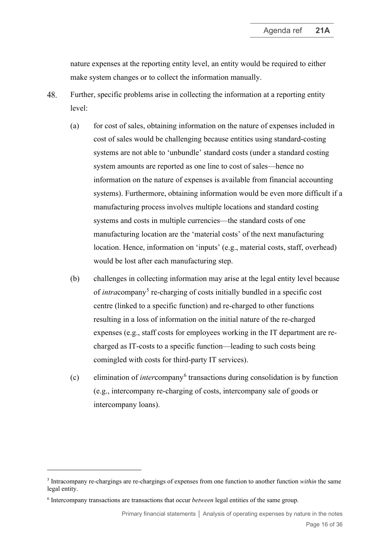nature expenses at the reporting entity level, an entity would be required to either make system changes or to collect the information manually.

- 48. Further, specific problems arise in collecting the information at a reporting entity level:
	- (a) for cost of sales, obtaining information on the nature of expenses included in cost of sales would be challenging because entities using standard-costing systems are not able to 'unbundle' standard costs (under a standard costing system amounts are reported as one line to cost of sales—hence no information on the nature of expenses is available from financial accounting systems). Furthermore, obtaining information would be even more difficult if a manufacturing process involves multiple locations and standard costing systems and costs in multiple currencies—the standard costs of one manufacturing location are the 'material costs' of the next manufacturing location. Hence, information on 'inputs' (e.g., material costs, staff, overhead) would be lost after each manufacturing step.
	- (b) challenges in collecting information may arise at the legal entity level because of *intra*company<sup>[5](#page-15-0)</sup> re-charging of costs initially bundled in a specific cost centre (linked to a specific function) and re-charged to other functions resulting in a loss of information on the initial nature of the re-charged expenses (e.g., staff costs for employees working in the IT department are recharged as IT-costs to a specific function—leading to such costs being comingled with costs for third-party IT services).
	- (c) elimination of *inter*company[6](#page-15-1) transactions during consolidation is by function (e.g., intercompany re-charging of costs, intercompany sale of goods or intercompany loans).

<span id="page-15-0"></span><sup>5</sup> Intracompany re-chargings are re-chargings of expenses from one function to another function *within* the same legal entity.

<span id="page-15-1"></span><sup>6</sup> Intercompany transactions are transactions that occur *between* legal entities of the same group.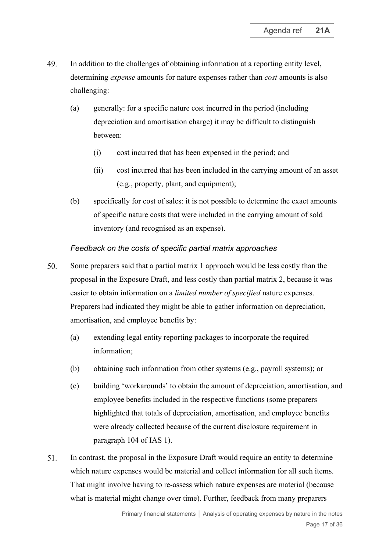- <span id="page-16-0"></span>49. In addition to the challenges of obtaining information at a reporting entity level, determining *expense* amounts for nature expenses rather than *cost* amounts is also challenging:
	- (a) generally: for a specific nature cost incurred in the period (including depreciation and amortisation charge) it may be difficult to distinguish between:
		- (i) cost incurred that has been expensed in the period; and
		- (ii) cost incurred that has been included in the carrying amount of an asset (e.g., property, plant, and equipment);
	- (b) specifically for cost of sales: it is not possible to determine the exact amounts of specific nature costs that were included in the carrying amount of sold inventory (and recognised as an expense).

### *Feedback on the costs of specific partial matrix approaches*

- <span id="page-16-3"></span><span id="page-16-1"></span>50. Some preparers said that a partial matrix 1 approach would be less costly than the proposal in the Exposure Draft, and less costly than partial matrix 2, because it was easier to obtain information on a *limited number of specified* nature expenses. Preparers had indicated they might be able to gather information on depreciation, amortisation, and employee benefits by:
	- (a) extending legal entity reporting packages to incorporate the required information;
	- (b) obtaining such information from other systems (e.g., payroll systems); or
	- (c) building 'workarounds' to obtain the amount of depreciation, amortisation, and employee benefits included in the respective functions (some preparers highlighted that totals of depreciation, amortisation, and employee benefits were already collected because of the current disclosure requirement in paragraph 104 of IAS 1).
- <span id="page-16-2"></span> $51.$ In contrast, the proposal in the Exposure Draft would require an entity to determine which nature expenses would be material and collect information for all such items. That might involve having to re-assess which nature expenses are material (because what is material might change over time). Further, feedback from many preparers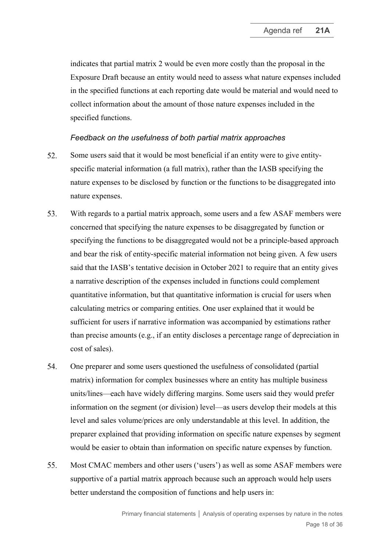indicates that partial matrix 2 would be even more costly than the proposal in the Exposure Draft because an entity would need to assess what nature expenses included in the specified functions at each reporting date would be material and would need to collect information about the amount of those nature expenses included in the specified functions.

#### *Feedback on the usefulness of both partial matrix approaches*

- 52. Some users said that it would be most beneficial if an entity were to give entityspecific material information (a full matrix), rather than the IASB specifying the nature expenses to be disclosed by function or the functions to be disaggregated into nature expenses.
- 53. With regards to a partial matrix approach, some users and a few ASAF members were concerned that specifying the nature expenses to be disaggregated by function or specifying the functions to be disaggregated would not be a principle-based approach and bear the risk of entity-specific material information not being given. A few users said that the IASB's tentative decision in October 2021 to require that an entity gives a narrative description of the expenses included in functions could complement quantitative information, but that quantitative information is crucial for users when calculating metrics or comparing entities. One user explained that it would be sufficient for users if narrative information was accompanied by estimations rather than precise amounts (e.g., if an entity discloses a percentage range of depreciation in cost of sales).
- <span id="page-17-0"></span>54. One preparer and some users questioned the usefulness of consolidated (partial matrix) information for complex businesses where an entity has multiple business units/lines—each have widely differing margins. Some users said they would prefer information on the segment (or division) level—as users develop their models at this level and sales volume/prices are only understandable at this level. In addition, the preparer explained that providing information on specific nature expenses by segment would be easier to obtain than information on specific nature expenses by function.
- $55.$ Most CMAC members and other users ('users') as well as some ASAF members were supportive of a partial matrix approach because such an approach would help users better understand the composition of functions and help users in: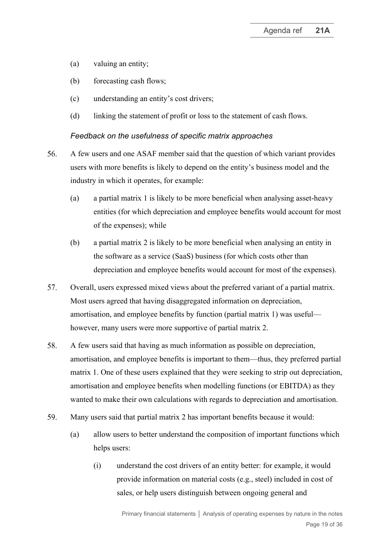- (a) valuing an entity;
- (b) forecasting cash flows;
- (c) understanding an entity's cost drivers;
- (d) linking the statement of profit or loss to the statement of cash flows.

#### *Feedback on the usefulness of specific matrix approaches*

- 56. A few users and one ASAF member said that the question of which variant provides users with more benefits is likely to depend on the entity's business model and the industry in which it operates, for example:
	- (a) a partial matrix 1 is likely to be more beneficial when analysing asset-heavy entities (for which depreciation and employee benefits would account for most of the expenses); while
	- (b) a partial matrix 2 is likely to be more beneficial when analysing an entity in the software as a service (SaaS) business (for which costs other than depreciation and employee benefits would account for most of the expenses).
- 57. Overall, users expressed mixed views about the preferred variant of a partial matrix. Most users agreed that having disaggregated information on depreciation, amortisation, and employee benefits by function (partial matrix 1) was useful however, many users were more supportive of partial matrix 2.
- <span id="page-18-0"></span>58. A few users said that having as much information as possible on depreciation, amortisation, and employee benefits is important to them—thus, they preferred partial matrix 1. One of these users explained that they were seeking to strip out depreciation, amortisation and employee benefits when modelling functions (or EBITDA) as they wanted to make their own calculations with regards to depreciation and amortisation.
- <span id="page-18-1"></span>Many users said that partial matrix 2 has important benefits because it would: 59.
	- (a) allow users to better understand the composition of important functions which helps users:
		- (i) understand the cost drivers of an entity better: for example, it would provide information on material costs (e.g., steel) included in cost of sales, or help users distinguish between ongoing general and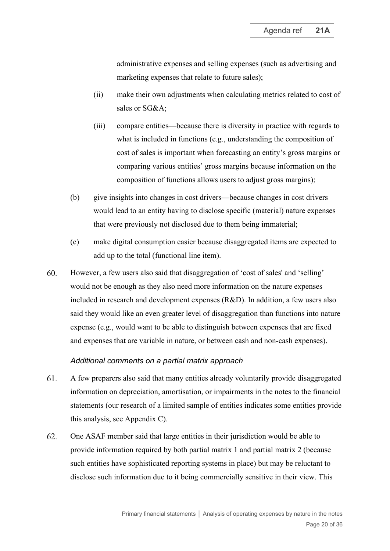administrative expenses and selling expenses (such as advertising and marketing expenses that relate to future sales);

- (ii) make their own adjustments when calculating metrics related to cost of sales or SG&A;
- (iii) compare entities—because there is diversity in practice with regards to what is included in functions (e.g., understanding the composition of cost of sales is important when forecasting an entity's gross margins or comparing various entities' gross margins because information on the composition of functions allows users to adjust gross margins);
- (b) give insights into changes in cost drivers—because changes in cost drivers would lead to an entity having to disclose specific (material) nature expenses that were previously not disclosed due to them being immaterial;
- (c) make digital consumption easier because disaggregated items are expected to add up to the total (functional line item).
- 60. However, a few users also said that disaggregation of 'cost of sales' and 'selling' would not be enough as they also need more information on the nature expenses included in research and development expenses (R&D). In addition, a few users also said they would like an even greater level of disaggregation than functions into nature expense (e.g., would want to be able to distinguish between expenses that are fixed and expenses that are variable in nature, or between cash and non-cash expenses).

#### *Additional comments on a partial matrix approach*

- 61. A few preparers also said that many entities already voluntarily provide disaggregated information on depreciation, amortisation, or impairments in the notes to the financial statements (our research of a limited sample of entities indicates some entities provide this analysis, see Appendix C).
- 62. One ASAF member said that large entities in their jurisdiction would be able to provide information required by both partial matrix 1 and partial matrix 2 (because such entities have sophisticated reporting systems in place) but may be reluctant to disclose such information due to it being commercially sensitive in their view. This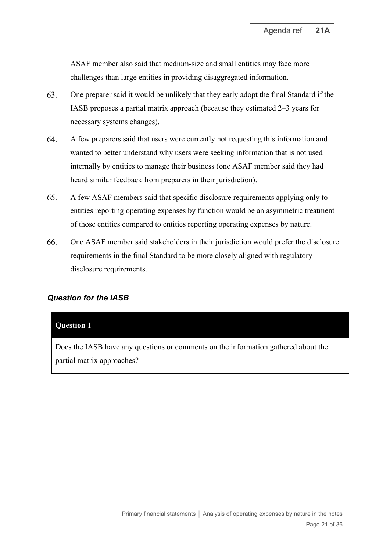ASAF member also said that medium-size and small entities may face more challenges than large entities in providing disaggregated information.

- One preparer said it would be unlikely that they early adopt the final Standard if the 63. IASB proposes a partial matrix approach (because they estimated 2–3 years for necessary systems changes).
- 64. A few preparers said that users were currently not requesting this information and wanted to better understand why users were seeking information that is not used internally by entities to manage their business (one ASAF member said they had heard similar feedback from preparers in their jurisdiction).
- 65. A few ASAF members said that specific disclosure requirements applying only to entities reporting operating expenses by function would be an asymmetric treatment of those entities compared to entities reporting operating expenses by nature.
- <span id="page-20-0"></span>66. One ASAF member said stakeholders in their jurisdiction would prefer the disclosure requirements in the final Standard to be more closely aligned with regulatory disclosure requirements.

### *Question for the IASB*

#### **Question 1**

Does the IASB have any questions or comments on the information gathered about the partial matrix approaches?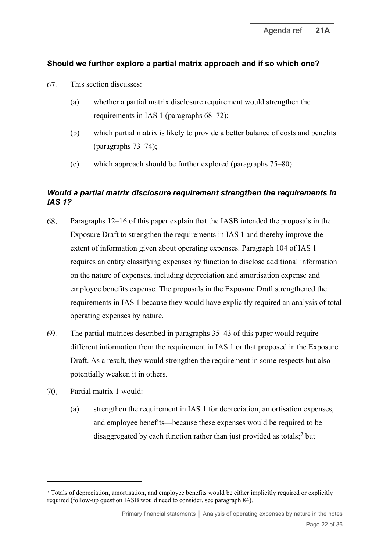# **Should we further explore a partial matrix approach and if so which one?**

- <span id="page-21-0"></span>67. This section discusses:
	- (a) whether a partial matrix disclosure requirement would strengthen the requirements in IAS 1 (paragraphs [68–](#page-21-1)[72\)](#page-22-0);
	- (b) which partial matrix is likely to provide a better balance of costs and benefits (paragraphs [73](#page-22-1)[–74\)](#page-23-0);
	- (c) which approach should be further explored (paragraphs [75–](#page-23-1)[80\)](#page-24-0).

# *Would a partial matrix disclosure requirement strengthen the requirements in IAS 1?*

- <span id="page-21-1"></span>68. Paragraphs [12–](#page-3-2)[16](#page-3-0) of this paper explain that the IASB intended the proposals in the Exposure Draft to strengthen the requirements in IAS 1 and thereby improve the extent of information given about operating expenses. Paragraph 104 of IAS 1 requires an entity classifying expenses by function to disclose additional information on the nature of expenses, including depreciation and amortisation expense and employee benefits expense. The proposals in the Exposure Draft strengthened the requirements in IAS 1 because they would have explicitly required an analysis of total operating expenses by nature.
- 69. The partial matrices described in paragraphs [35–](#page-10-0)[43](#page-13-0) of this paper would require different information from the requirement in IAS 1 or that proposed in the Exposure Draft. As a result, they would strengthen the requirement in some respects but also potentially weaken it in others.
- Partial matrix 1 would: 70
	- (a) strengthen the requirement in IAS 1 for depreciation, amortisation expenses, and employee benefits—because these expenses would be required to be disaggregated by each function rather than just provided as totals;<sup>[7](#page-21-2)</sup> but

<span id="page-21-2"></span><sup>7</sup> Totals of depreciation, amortisation, and employee benefits would be either implicitly required or explicitly required (follow-up question IASB would need to consider, see paragrap[h 84\)](#page-25-1).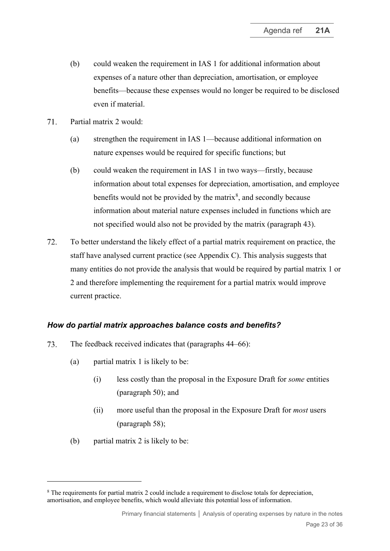- (b) could weaken the requirement in IAS 1 for additional information about expenses of a nature other than depreciation, amortisation, or employee benefits—because these expenses would no longer be required to be disclosed even if material.
- Partial matrix 2 would:  $71.$ 
	- (a) strengthen the requirement in IAS 1—because additional information on nature expenses would be required for specific functions; but
	- (b) could weaken the requirement in IAS 1 in two ways—firstly, because information about total expenses for depreciation, amortisation, and employee benefits would not be provided by the matrix<sup>[8](#page-22-2)</sup>, and secondly because information about material nature expenses included in functions which are not specified would also not be provided by the matrix (paragraph [43\)](#page-13-0).
- <span id="page-22-0"></span> $72.$ To better understand the likely effect of a partial matrix requirement on practice, the staff have analysed current practice (see Appendix C). This analysis suggests that many entities do not provide the analysis that would be required by partial matrix 1 or 2 and therefore implementing the requirement for a partial matrix would improve current practice.

#### *How do partial matrix approaches balance costs and benefits?*

- <span id="page-22-1"></span>73. The feedback received indicates that (paragraphs [44–](#page-13-1)[66\)](#page-20-0):
	- (a) partial matrix 1 is likely to be:
		- (i) less costly than the proposal in the Exposure Draft for *some* entities (paragraph [50\)](#page-16-1); and
		- (ii) more useful than the proposal in the Exposure Draft for *most* users (paragraph [58\)](#page-18-0);
	- (b) partial matrix 2 is likely to be:

<span id="page-22-2"></span><sup>8</sup> The requirements for partial matrix 2 could include a requirement to disclose totals for depreciation, amortisation, and employee benefits, which would alleviate this potential loss of information.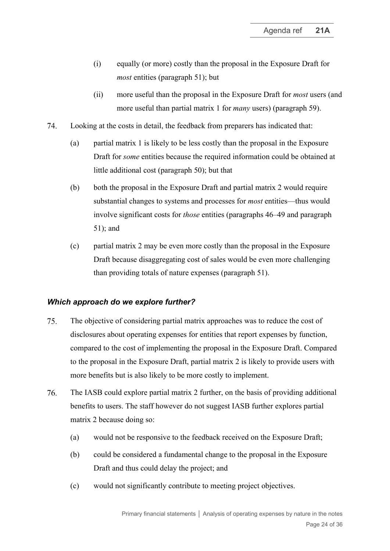- (i) equally (or more) costly than the proposal in the Exposure Draft for *most* entities (paragraph [51\)](#page-16-2); but
- (ii) more useful than the proposal in the Exposure Draft for *most* users (and more useful than partial matrix 1 for *many* users) (paragraph [59\)](#page-18-1).
- <span id="page-23-0"></span>74. Looking at the costs in detail, the feedback from preparers has indicated that:
	- (a) partial matrix 1 is likely to be less costly than the proposal in the Exposure Draft for *some* entities because the required information could be obtained at little additional cost (paragraph [50\)](#page-16-1); but that
	- (b) both the proposal in the Exposure Draft and partial matrix 2 would require substantial changes to systems and processes for *most* entities—thus would involve significant costs for *those* entities (paragraphs [46](#page-14-0)[–49](#page-16-0) and paragraph [51\)](#page-16-2); and
	- (c) partial matrix 2 may be even more costly than the proposal in the Exposure Draft because disaggregating cost of sales would be even more challenging than providing totals of nature expenses (paragraph [51\)](#page-16-2).

#### *Which approach do we explore further?*

- <span id="page-23-1"></span>75. The objective of considering partial matrix approaches was to reduce the cost of disclosures about operating expenses for entities that report expenses by function, compared to the cost of implementing the proposal in the Exposure Draft. Compared to the proposal in the Exposure Draft, partial matrix 2 is likely to provide users with more benefits but is also likely to be more costly to implement.
- 76. The IASB could explore partial matrix 2 further, on the basis of providing additional benefits to users. The staff however do not suggest IASB further explores partial matrix 2 because doing so:
	- (a) would not be responsive to the feedback received on the Exposure Draft;
	- (b) could be considered a fundamental change to the proposal in the Exposure Draft and thus could delay the project; and
	- (c) would not significantly contribute to meeting project objectives.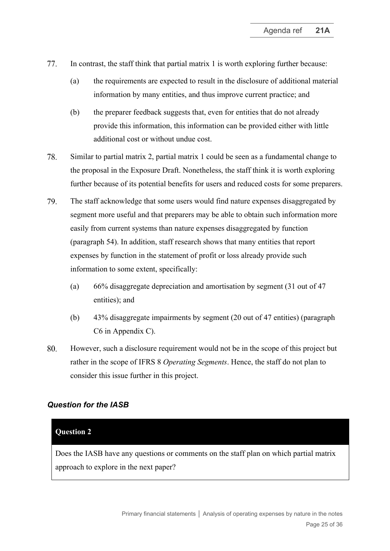- 77. In contrast, the staff think that partial matrix 1 is worth exploring further because:
	- (a) the requirements are expected to result in the disclosure of additional material information by many entities, and thus improve current practice; and
	- (b) the preparer feedback suggests that, even for entities that do not already provide this information, this information can be provided either with little additional cost or without undue cost.
- 78. Similar to partial matrix 2, partial matrix 1 could be seen as a fundamental change to the proposal in the Exposure Draft. Nonetheless, the staff think it is worth exploring further because of its potential benefits for users and reduced costs for some preparers.
- 79. The staff acknowledge that some users would find nature expenses disaggregated by segment more useful and that preparers may be able to obtain such information more easily from current systems than nature expenses disaggregated by function (paragraph [54\)](#page-17-0). In addition, staff research shows that many entities that report expenses by function in the statement of profit or loss already provide such information to some extent, specifically:
	- (a) 66% disaggregate depreciation and amortisation by segment (31 out of 47 entities); and
	- (b) 43% disaggregate impairments by segment (20 out of 47 entities) (paragraph [C6](#page-34-0) in Appendix C).
- <span id="page-24-0"></span>80. However, such a disclosure requirement would not be in the scope of this project but rather in the scope of IFRS 8 *Operating Segments*. Hence, the staff do not plan to consider this issue further in this project.

# *Question for the IASB*

### **Question 2**

Does the IASB have any questions or comments on the staff plan on which partial matrix approach to explore in the next paper?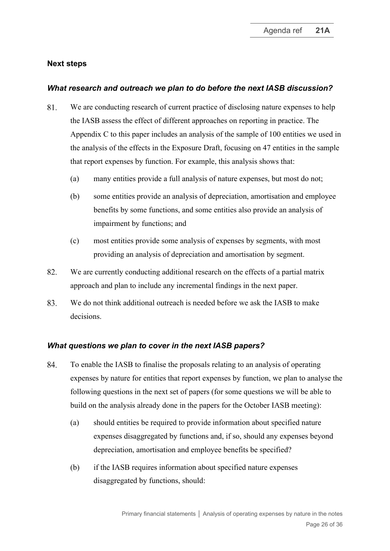### **Next steps**

### *What research and outreach we plan to do before the next IASB discussion?*

- <span id="page-25-0"></span>81. We are conducting research of current practice of disclosing nature expenses to help the IASB assess the effect of different approaches on reporting in practice. The Appendix C to this paper includes an analysis of the sample of 100 entities we used in the analysis of the effects in the Exposure Draft, focusing on 47 entities in the sample that report expenses by function. For example, this analysis shows that:
	- (a) many entities provide a full analysis of nature expenses, but most do not;
	- (b) some entities provide an analysis of depreciation, amortisation and employee benefits by some functions, and some entities also provide an analysis of impairment by functions; and
	- (c) most entities provide some analysis of expenses by segments, with most providing an analysis of depreciation and amortisation by segment.
- 82. We are currently conducting additional research on the effects of a partial matrix approach and plan to include any incremental findings in the next paper.
- 83. We do not think additional outreach is needed before we ask the IASB to make decisions.

#### *What questions we plan to cover in the next IASB papers?*

- <span id="page-25-1"></span>84. To enable the IASB to finalise the proposals relating to an analysis of operating expenses by nature for entities that report expenses by function, we plan to analyse the following questions in the next set of papers (for some questions we will be able to build on the analysis already done in the papers for the October IASB meeting):
	- (a) should entities be required to provide information about specified nature expenses disaggregated by functions and, if so, should any expenses beyond depreciation, amortisation and employee benefits be specified?
	- (b) if the IASB requires information about specified nature expenses disaggregated by functions, should: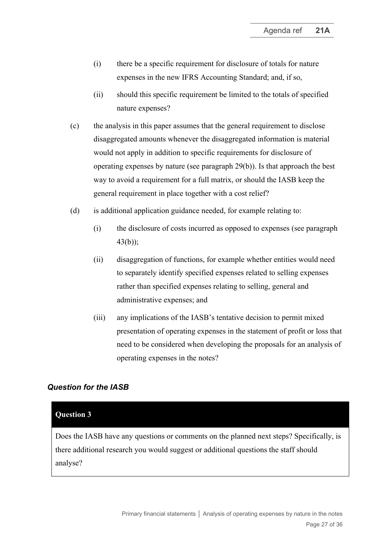- (i) there be a specific requirement for disclosure of totals for nature expenses in the new IFRS Accounting Standard; and, if so,
- (ii) should this specific requirement be limited to the totals of specified nature expenses?
- (c) the analysis in this paper assumes that the general requirement to disclose disaggregated amounts whenever the disaggregated information is material would not apply in addition to specific requirements for disclosure of operating expenses by nature (see paragraph [29\(b\)\)](#page-8-1). Is that approach the best way to avoid a requirement for a full matrix, or should the IASB keep the general requirement in place together with a cost relief?
- (d) is additional application guidance needed, for example relating to:
	- (i) the disclosure of costs incurred as opposed to expenses (see paragraph [43\(b\)\)](#page-13-3);
	- (ii) disaggregation of functions, for example whether entities would need to separately identify specified expenses related to selling expenses rather than specified expenses relating to selling, general and administrative expenses; and
	- (iii) any implications of the IASB's tentative decision to permit mixed presentation of operating expenses in the statement of profit or loss that need to be considered when developing the proposals for an analysis of operating expenses in the notes?

### *Question for the IASB*

#### **Question 3**

Does the IASB have any questions or comments on the planned next steps? Specifically, is there additional research you would suggest or additional questions the staff should analyse?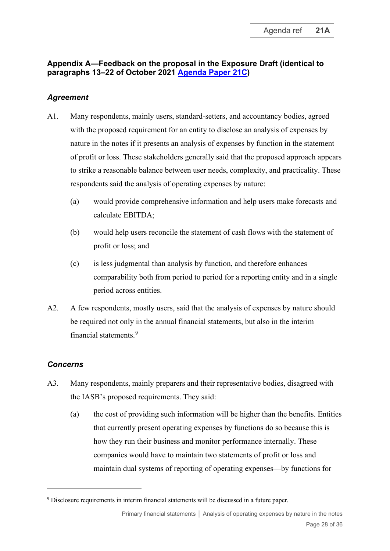# **Appendix A—Feedback on the proposal in the Exposure Draft (identical to paragraphs 13–22 of October 2021 [Agenda Paper 21C\)](https://www.ifrs.org/content/dam/ifrs/meetings/2021/october/iasb/ap21c-analysis-of-operating-expenses-disclosure-in-the-notes.pdf)**

# *Agreement*

- A1. Many respondents, mainly users, standard-setters, and accountancy bodies, agreed with the proposed requirement for an entity to disclose an analysis of expenses by nature in the notes if it presents an analysis of expenses by function in the statement of profit or loss. These stakeholders generally said that the proposed approach appears to strike a reasonable balance between user needs, complexity, and practicality. These respondents said the analysis of operating expenses by nature:
	- (a) would provide comprehensive information and help users make forecasts and calculate EBITDA;
	- (b) would help users reconcile the statement of cash flows with the statement of profit or loss; and
	- (c) is less judgmental than analysis by function, and therefore enhances comparability both from period to period for a reporting entity and in a single period across entities.
- A2. A few respondents, mostly users, said that the analysis of expenses by nature should be required not only in the annual financial statements, but also in the interim financial statements<sup>[9](#page-27-0)</sup>

# *Concerns*

- A3. Many respondents, mainly preparers and their representative bodies, disagreed with the IASB's proposed requirements. They said:
	- (a) the cost of providing such information will be higher than the benefits. Entities that currently present operating expenses by functions do so because this is how they run their business and monitor performance internally. These companies would have to maintain two statements of profit or loss and maintain dual systems of reporting of operating expenses—by functions for

<span id="page-27-0"></span><sup>&</sup>lt;sup>9</sup> Disclosure requirements in interim financial statements will be discussed in a future paper.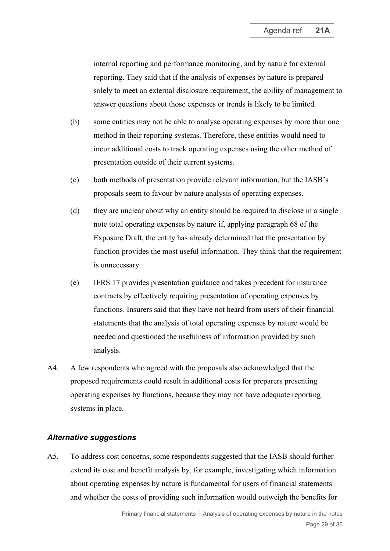internal reporting and performance monitoring, and by nature for external reporting. They said that if the analysis of expenses by nature is prepared solely to meet an external disclosure requirement, the ability of management to answer questions about those expenses or trends is likely to be limited.

- (b) some entities may not be able to analyse operating expenses by more than one method in their reporting systems. Therefore, these entities would need to incur additional costs to track operating expenses using the other method of presentation outside of their current systems.
- (c) both methods of presentation provide relevant information, but the IASB's proposals seem to favour by nature analysis of operating expenses.
- (d) they are unclear about why an entity should be required to disclose in a single note total operating expenses by nature if, applying paragraph 68 of the Exposure Draft, the entity has already determined that the presentation by function provides the most useful information. They think that the requirement is unnecessary.
- (e) IFRS 17 provides presentation guidance and takes precedent for insurance contracts by effectively requiring presentation of operating expenses by functions. Insurers said that they have not heard from users of their financial statements that the analysis of total operating expenses by nature would be needed and questioned the usefulness of information provided by such analysis.
- A4. A few respondents who agreed with the proposals also acknowledged that the proposed requirements could result in additional costs for preparers presenting operating expenses by functions, because they may not have adequate reporting systems in place.

#### *Alternative suggestions*

A5. To address cost concerns, some respondents suggested that the IASB should further extend its cost and benefit analysis by, for example, investigating which information about operating expenses by nature is fundamental for users of financial statements and whether the costs of providing such information would outweigh the benefits for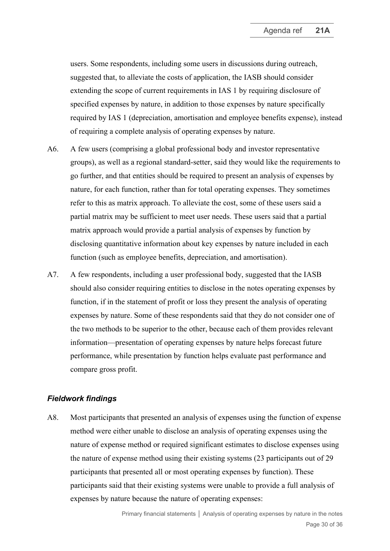users. Some respondents, including some users in discussions during outreach, suggested that, to alleviate the costs of application, the IASB should consider extending the scope of current requirements in IAS 1 by requiring disclosure of specified expenses by nature, in addition to those expenses by nature specifically required by IAS 1 (depreciation, amortisation and employee benefits expense), instead of requiring a complete analysis of operating expenses by nature.

- A6. A few users (comprising a global professional body and investor representative groups), as well as a regional standard-setter, said they would like the requirements to go further, and that entities should be required to present an analysis of expenses by nature, for each function, rather than for total operating expenses. They sometimes refer to this as matrix approach. To alleviate the cost, some of these users said a partial matrix may be sufficient to meet user needs. These users said that a partial matrix approach would provide a partial analysis of expenses by function by disclosing quantitative information about key expenses by nature included in each function (such as employee benefits, depreciation, and amortisation).
- A7. A few respondents, including a user professional body, suggested that the IASB should also consider requiring entities to disclose in the notes operating expenses by function, if in the statement of profit or loss they present the analysis of operating expenses by nature. Some of these respondents said that they do not consider one of the two methods to be superior to the other, because each of them provides relevant information—presentation of operating expenses by nature helps forecast future performance, while presentation by function helps evaluate past performance and compare gross profit.

#### *Fieldwork findings*

A8. Most participants that presented an analysis of expenses using the function of expense method were either unable to disclose an analysis of operating expenses using the nature of expense method or required significant estimates to disclose expenses using the nature of expense method using their existing systems (23 participants out of 29 participants that presented all or most operating expenses by function). These participants said that their existing systems were unable to provide a full analysis of expenses by nature because the nature of operating expenses: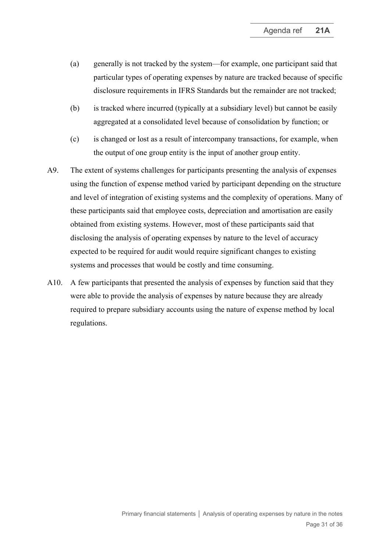- (a) generally is not tracked by the system—for example, one participant said that particular types of operating expenses by nature are tracked because of specific disclosure requirements in IFRS Standards but the remainder are not tracked;
- (b) is tracked where incurred (typically at a subsidiary level) but cannot be easily aggregated at a consolidated level because of consolidation by function; or
- (c) is changed or lost as a result of intercompany transactions, for example, when the output of one group entity is the input of another group entity.
- A9. The extent of systems challenges for participants presenting the analysis of expenses using the function of expense method varied by participant depending on the structure and level of integration of existing systems and the complexity of operations. Many of these participants said that employee costs, depreciation and amortisation are easily obtained from existing systems. However, most of these participants said that disclosing the analysis of operating expenses by nature to the level of accuracy expected to be required for audit would require significant changes to existing systems and processes that would be costly and time consuming.
- A10. A few participants that presented the analysis of expenses by function said that they were able to provide the analysis of expenses by nature because they are already required to prepare subsidiary accounts using the nature of expense method by local regulations.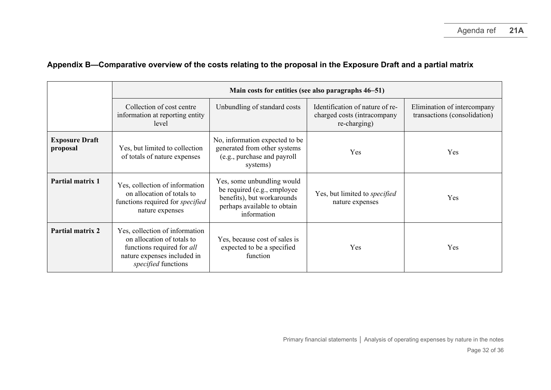|                                   | Main costs for entities (see also paragraphs 46–51)                                                                                              |                                                                                                                                       |                                                                                |                                                             |  |
|-----------------------------------|--------------------------------------------------------------------------------------------------------------------------------------------------|---------------------------------------------------------------------------------------------------------------------------------------|--------------------------------------------------------------------------------|-------------------------------------------------------------|--|
|                                   | Collection of cost centre<br>information at reporting entity<br>level                                                                            | Unbundling of standard costs                                                                                                          | Identification of nature of re-<br>charged costs (intracompany<br>re-charging) | Elimination of intercompany<br>transactions (consolidation) |  |
| <b>Exposure Draft</b><br>proposal | Yes, but limited to collection<br>of totals of nature expenses                                                                                   | No, information expected to be<br>generated from other systems<br>(e.g., purchase and payroll<br>systems)                             | Yes                                                                            | Yes                                                         |  |
| Partial matrix 1                  | Yes, collection of information<br>on allocation of totals to<br>functions required for specified<br>nature expenses                              | Yes, some unbundling would<br>be required (e.g., employee<br>benefits), but workarounds<br>perhaps available to obtain<br>information | Yes, but limited to specified<br>nature expenses                               | Yes                                                         |  |
| Partial matrix 2                  | Yes, collection of information<br>on allocation of totals to<br>functions required for all<br>nature expenses included in<br>specified functions | Yes, because cost of sales is<br>expected to be a specified<br>function                                                               | Yes                                                                            | Yes                                                         |  |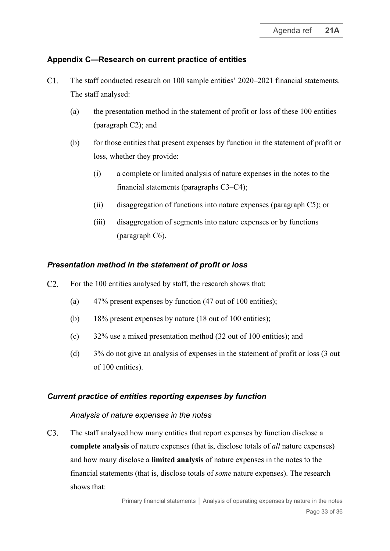# **Appendix C—Research on current practice of entities**

- $C1.$ The staff conducted research on 100 sample entities' 2020–2021 financial statements. The staff analysed:
	- (a) the presentation method in the statement of profit or loss of these 100 entities (paragraph [C2\)](#page-32-0); and
	- (b) for those entities that present expenses by function in the statement of profit or loss, whether they provide:
		- (i) a complete or limited analysis of nature expenses in the notes to the financial statements (paragraphs [C3](#page-32-1)[–C4\)](#page-33-0);
		- (ii) disaggregation of functions into nature expenses (paragraph [C5\)](#page-33-1); or
		- (iii) disaggregation of segments into nature expenses or by functions (paragraph [C6\)](#page-34-0).

### *Presentation method in the statement of profit or loss*

- <span id="page-32-0"></span> $C2.$ For the 100 entities analysed by staff, the research shows that:
	- (a) 47% present expenses by function (47 out of 100 entities);
	- (b) 18% present expenses by nature (18 out of 100 entities);
	- (c) 32% use a mixed presentation method (32 out of 100 entities); and
	- (d) 3% do not give an analysis of expenses in the statement of profit or loss (3 out of 100 entities).

#### *Current practice of entities reporting expenses by function*

#### *Analysis of nature expenses in the notes*

<span id="page-32-1"></span> $C3.$ The staff analysed how many entities that report expenses by function disclose a **complete analysis** of nature expenses (that is, disclose totals of *all* nature expenses) and how many disclose a **limited analysis** of nature expenses in the notes to the financial statements (that is, disclose totals of *some* nature expenses). The research shows that: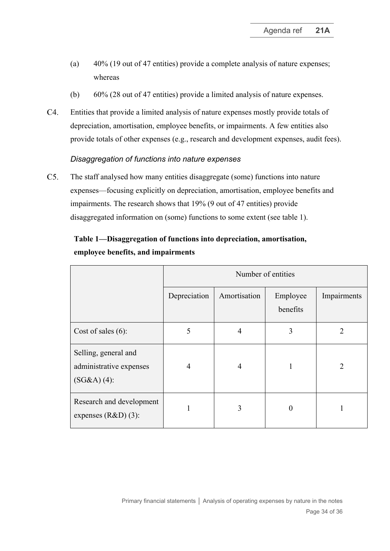- (a) 40% (19 out of 47 entities) provide a complete analysis of nature expenses; whereas
- (b) 60% (28 out of 47 entities) provide a limited analysis of nature expenses.
- <span id="page-33-0"></span> $C4.$ Entities that provide a limited analysis of nature expenses mostly provide totals of depreciation, amortisation, employee benefits, or impairments. A few entities also provide totals of other expenses (e.g., research and development expenses, audit fees).

### *Disaggregation of functions into nature expenses*

<span id="page-33-1"></span> $C5.$ The staff analysed how many entities disaggregate (some) functions into nature expenses—focusing explicitly on depreciation, amortisation, employee benefits and impairments. The research shows that 19% (9 out of 47 entities) provide disaggregated information on (some) functions to some extent (see table 1).

|                                                                  | Number of entities |              |                      |                |
|------------------------------------------------------------------|--------------------|--------------|----------------------|----------------|
|                                                                  | Depreciation       | Amortisation | Employee<br>benefits | Impairments    |
| Cost of sales $(6)$ :                                            | 5                  | 4            | 3                    | $\overline{2}$ |
| Selling, general and<br>administrative expenses<br>$(SG&A)(4)$ : | 4                  | 4            |                      | 2              |
| Research and development<br>expenses $(R&D)$ (3):                |                    | 3            | $\theta$             |                |

# **Table 1—Disaggregation of functions into depreciation, amortisation, employee benefits, and impairments**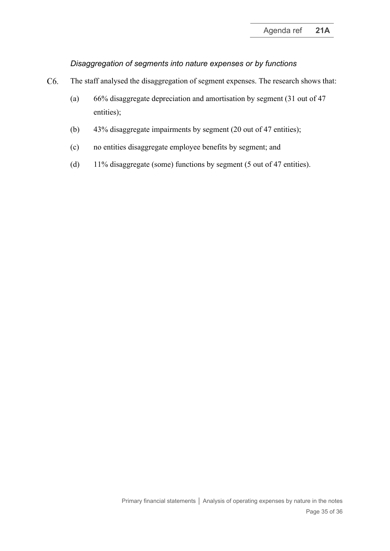### *Disaggregation of segments into nature expenses or by functions*

- <span id="page-34-0"></span>C6. The staff analysed the disaggregation of segment expenses. The research shows that:
	- (a) 66% disaggregate depreciation and amortisation by segment (31 out of 47 entities);
	- (b) 43% disaggregate impairments by segment (20 out of 47 entities);
	- (c) no entities disaggregate employee benefits by segment; and
	- (d) 11% disaggregate (some) functions by segment (5 out of 47 entities).